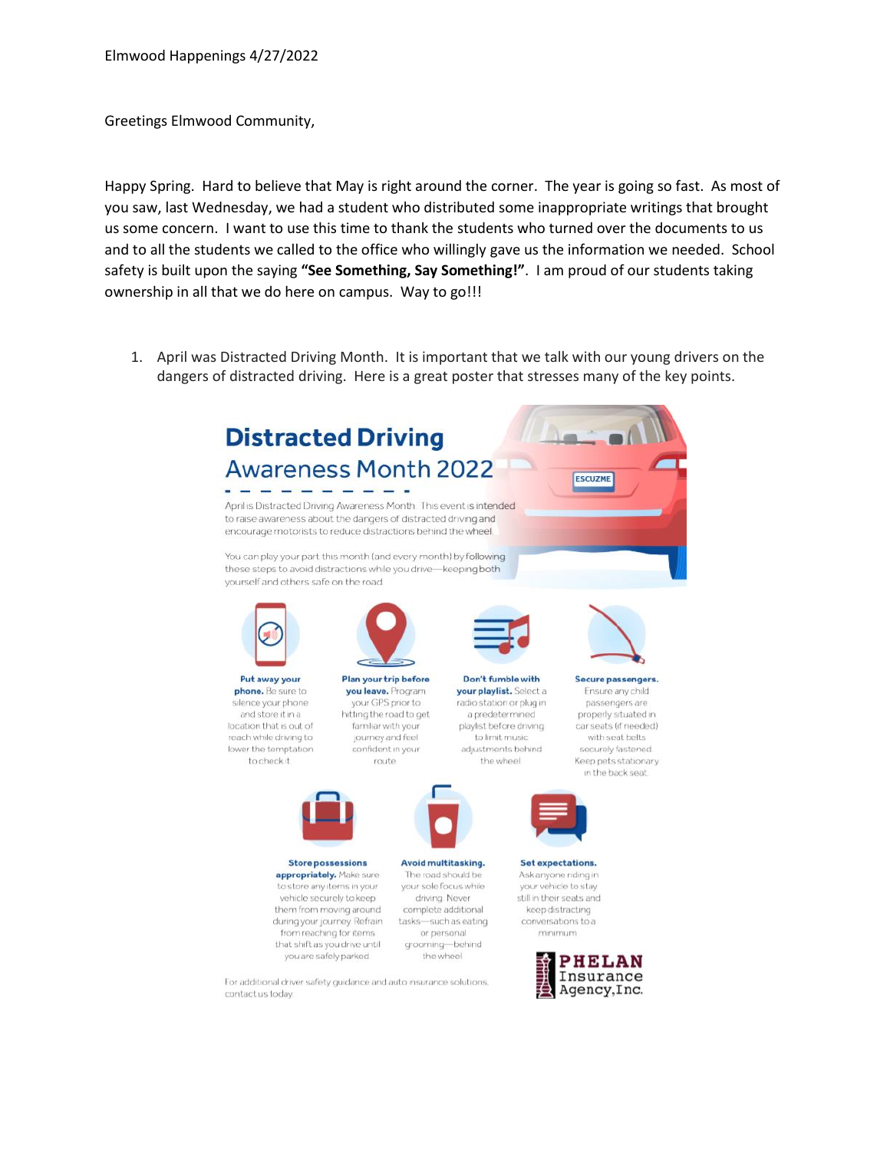Greetings Elmwood Community,

Happy Spring. Hard to believe that May is right around the corner. The year is going so fast. As most of you saw, last Wednesday, we had a student who distributed some inappropriate writings that brought us some concern. I want to use this time to thank the students who turned over the documents to us and to all the students we called to the office who willingly gave us the information we needed. School safety is built upon the saying **"See Something, Say Something!"**. I am proud of our students taking ownership in all that we do here on campus. Way to go!!!

1. April was Distracted Driving Month. It is important that we talk with our young drivers on the dangers of distracted driving. Here is a great poster that stresses many of the key points.

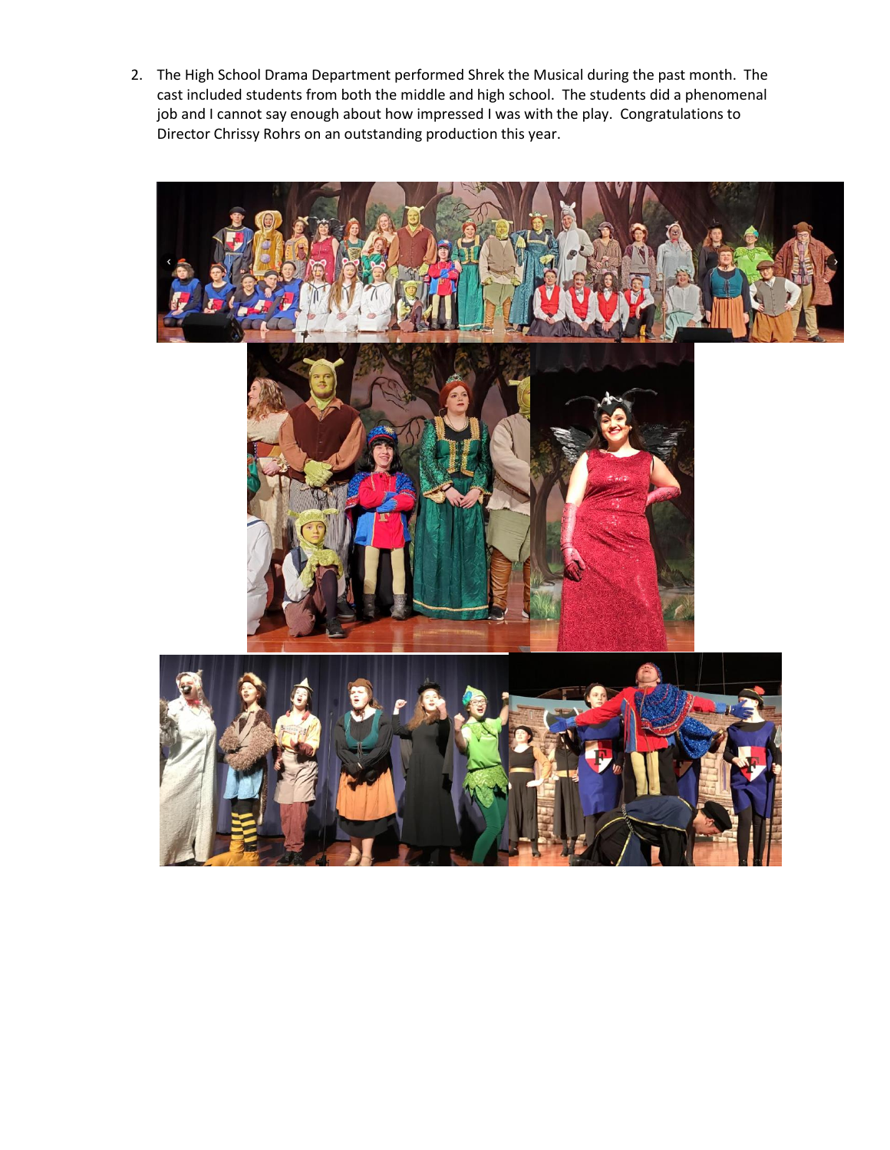2. The High School Drama Department performed Shrek the Musical during the past month. The cast included students from both the middle and high school. The students did a phenomenal job and I cannot say enough about how impressed I was with the play. Congratulations to Director Chrissy Rohrs on an outstanding production this year.

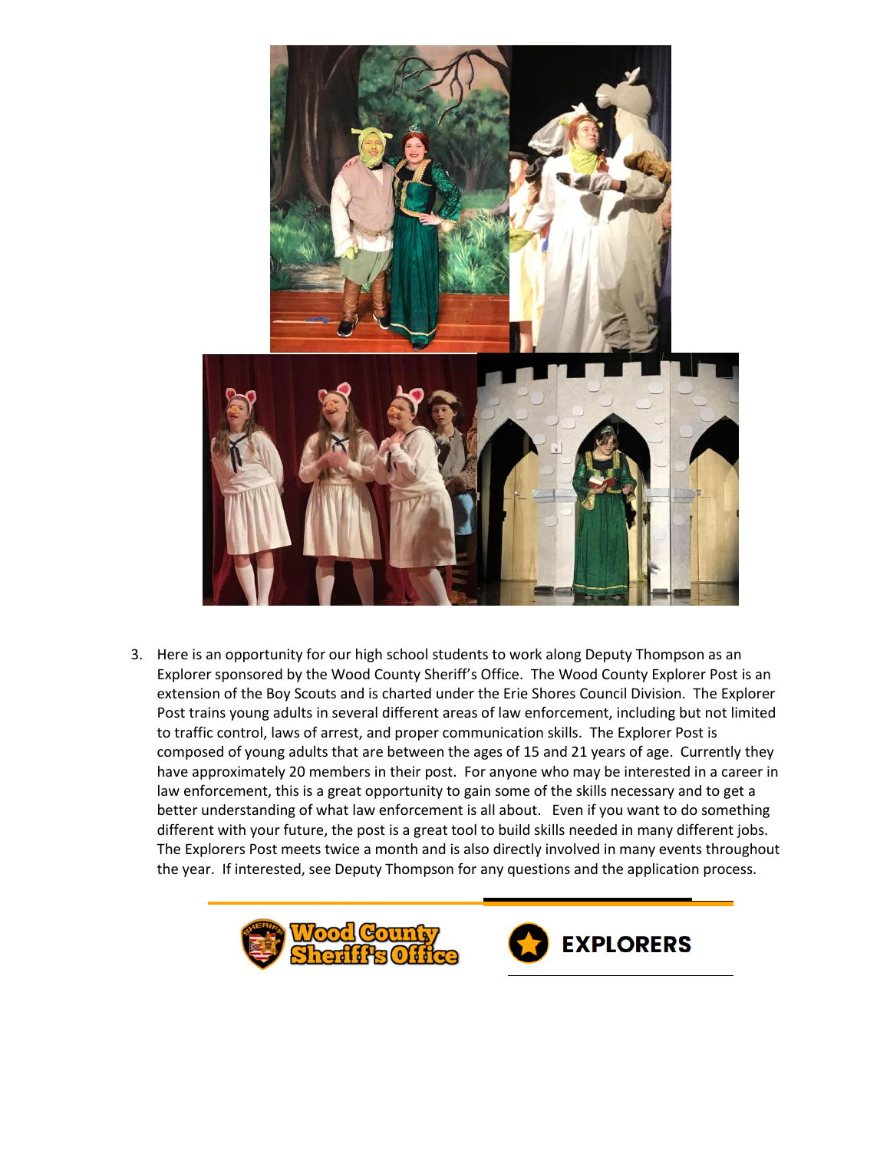

3. Here is an opportunity for our high school students to work along Deputy Thompson as an Explorer sponsored by the Wood County Sheriff's Office. The Wood County Explorer Post is an extension of the Boy Scouts and is charted under the Erie Shores Council Division. The Explorer Post trains young adults in several different areas of law enforcement, including but not limited to traffic control, laws of arrest, and proper communication skills. The Explorer Post is composed of young adults that are between the ages of 15 and 21 years of age. Currently they have approximately 20 members in their post. For anyone who may be interested in a career in law enforcement, this is a great opportunity to gain some of the skills necessary and to get a better understanding of what law enforcement is all about. Even if you want to do something different with your future, the post is a great tool to build skills needed in many different jobs. The Explorers Post meets twice a month and is also directly involved in many events throughout the year. If interested, see Deputy Thompson for any questions and the application process.